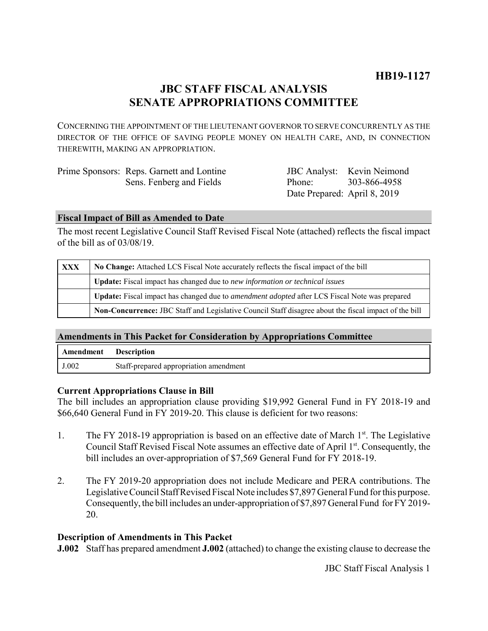# **JBC STAFF FISCAL ANALYSIS SENATE APPROPRIATIONS COMMITTEE**

CONCERNING THE APPOINTMENT OF THE LIEUTENANT GOVERNOR TO SERVE CONCURRENTLY AS THE DIRECTOR OF THE OFFICE OF SAVING PEOPLE MONEY ON HEALTH CARE, AND, IN CONNECTION THEREWITH, MAKING AN APPROPRIATION.

| Prime Sponsors: Reps. Garnett and Lontine |                              | <b>JBC</b> Analyst: Kevin Neimond |
|-------------------------------------------|------------------------------|-----------------------------------|
| Sens. Fenberg and Fields                  | Phone: 303-866-4958          |                                   |
|                                           | Date Prepared: April 8, 2019 |                                   |

#### **Fiscal Impact of Bill as Amended to Date**

The most recent Legislative Council Staff Revised Fiscal Note (attached) reflects the fiscal impact of the bill as of 03/08/19.

| XXX | No Change: Attached LCS Fiscal Note accurately reflects the fiscal impact of the bill                 |  |
|-----|-------------------------------------------------------------------------------------------------------|--|
|     | Update: Fiscal impact has changed due to new information or technical issues                          |  |
|     | Update: Fiscal impact has changed due to <i>amendment adopted</i> after LCS Fiscal Note was prepared  |  |
|     | Non-Concurrence: JBC Staff and Legislative Council Staff disagree about the fiscal impact of the bill |  |

### **Amendments in This Packet for Consideration by Appropriations Committee**

| Amendment | <b>Description</b>                     |
|-----------|----------------------------------------|
| J.002     | Staff-prepared appropriation amendment |

### **Current Appropriations Clause in Bill**

The bill includes an appropriation clause providing \$19,992 General Fund in FY 2018-19 and \$66,640 General Fund in FY 2019-20. This clause is deficient for two reasons:

- 1. The FY 2018-19 appropriation is based on an effective date of March 1<sup>st</sup>. The Legislative Council Staff Revised Fiscal Note assumes an effective date of April 1<sup>st</sup>. Consequently, the bill includes an over-appropriation of \$7,569 General Fund for FY 2018-19.
- 2. The FY 2019-20 appropriation does not include Medicare and PERA contributions. The Legislative Council Staff Revised Fiscal Note includes \$7,897 General Fund for this purpose. Consequently, the bill includes an under-appropriation of \$7,897 General Fund for FY 2019- 20.

### **Description of Amendments in This Packet**

**J.002** Staff has prepared amendment **J.002** (attached) to change the existing clause to decrease the